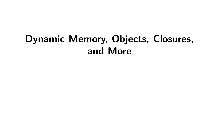# **Dynamic Memory, Objects, Closures, and More**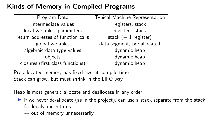# **Kinds of Memory in Compiled Programs**

| Program Data                       | Typical Machine Representation |
|------------------------------------|--------------------------------|
| intermediate values                | registers, stack               |
| local variables, parameters        | registers, stack               |
| return addresses of function calls | stack $(+ 1$ register)         |
| global variables                   | data segment, pre-allocated    |
| algebraic data type values         | dynamic heap                   |
| objects                            | dynamic heap                   |
| closures (first class functions)   | dynamic heap                   |

Pre-allocated memory has fixed size at compile time Stack can grow, but must shrink in the LIFO way

Heap is most general: allocate and deallocate in any order

 $\triangleright$  if we never de-allocate (as in the project), can use a stack separate from the stack for locals and returns

 $\rightsquigarrow$  out of memory unnecessarily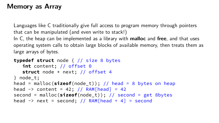## **Memory as Array**

Languages like C traditionally give full access to program memory through pointers that can be manipulated (and even write to stack!) In C, the heap can be implemented as a library with **malloc** and **free**, and that uses operating system calls to obtain large blocks of available memory, then treats them as

large arrays of bytes.

```
typedef struct node { // size 8 bytes
   int content; // offset 0
   struct node * next; // offset 4
} node_t;
head = malloc(sizeof(node_t)); // head = 8 bytes on heap
head \rightarrow content = 42; // RAM[head] = 42
second = malloc(sizeof(node_t)); // second = get 8bytes
head \rightarrow next = second; // RAM[head + 4] = second
```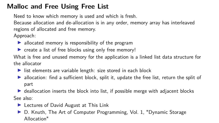## **Malloc and Free Using Free List**

Need to know which memory is used and which is fresh.

Because allocation and de-allocation is in any order, memory array has interleaved regions of allocated and free memory.

Approach:

- $\blacktriangleright$  allocated memory is responsibility of the program
- $\triangleright$  create a list of free blocks using only free memory!

What is free and unused memory for the application is a linked list data structure for the allocator

- $\blacktriangleright$  list elements are variable length: size stored in each block
- $\blacktriangleright$  allocation: find a sufficient block, split it, update the free list, return the split of part
- $\triangleright$  deallocation inserts the block into list, if possible merge with adjacent blocks See also:
	- $\blacktriangleright$  [Lectures of David August at This Link](https://www.cs.princeton.edu/courses/archive/fall07/cos217/lectures/14Memory-2x2.pdf)
	- D. Knuth, The Art of Computer Programming, Vol. 1, "Dynamic Storage Allocation"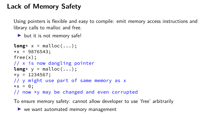## **Lack of Memory Safety**

Using pointers is flexible and easy to compile: emit memory access instructions and library calls to malloc and free.

 $\blacktriangleright$  but it is not memory safe!

```
long* x = malloc(...);
*x = 9876543;free(x);
// x is now dangling pointer
long* y = malloc(...);
xy = 1234567;// y might use part of same memory as x
\star x = 0:
// now *y may be changed and even corrupted
```
To ensure memory safety: cannot allow developer to use 'free' arbitrarily

 $\blacktriangleright$  we want automated memory management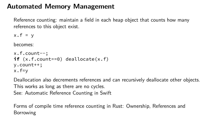#### **Automated Memory Management**

Reference counting: maintain a field in each heap object that counts how many references to this object exist.

 $x.f = v$ 

becomes:

```
x.f.count--;
if (x.f.count==0) deallocate(x.f)
y.count++;
x.f=y
```
Deallocation also decrements references and can recursively deallocate other objects. This works as long as there are no cycles.

See: [Automatic Reference Counting in Swift](https://developer.apple.com/library/content/documentation/Swift/Conceptual/Swift_Programming_Language/AutomaticReferenceCounting.html)

Forms of compile time reference counting in Rust: [Ownership,](https://doc.rust-lang.org/1.8.0/book/ownership.html) [References and](https://doc.rust-lang.org/1.8.0/book/references-and-borrowing.html) [Borrowing](https://doc.rust-lang.org/1.8.0/book/references-and-borrowing.html)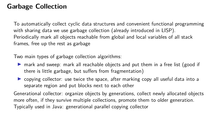## **Garbage Collection**

To automatically collect cyclic data structures and convenient functional programming with sharing data we use garbage collection (already introduced in LISP). Periodically mark all objects reachable from global and local variables of all stack frames, free up the rest as garbage

Two main types of garbage collection algorithms:

- **If** mark and sweep: mark all reachable objects and put them in a free list (good if there is little garbage, but suffers from fragmentation)
- $\triangleright$  copying collector: use twice the space, after marking copy all useful data into a separate region and put blocks next to each other

Generational collector: organize objects by generations, collect newly allocated objects more often, if they survive multiple collections, promote them to older generation. Typically used in Java: generational parallel copying collector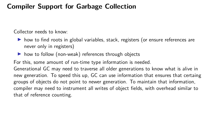#### **Compiler Support for Garbage Collection**

Collector needs to know:

- $\triangleright$  how to find roots in global variables, stack, registers (or ensure references are never only in registers)
- $\triangleright$  how to follow (non-weak) references through objects

For this, some amount of run-time type information is needed. Generational GC may need to traverse all older generations to know what is alive in new generation. To speed this up, GC can use information that ensures that certaing groups of objects do not point to newer generation. To maintain that information, compiler may need to instrument all writes of object fields, with overhead similar to that of reference counting.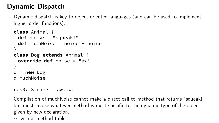# **Dynamic Dispatch**

Dynamic dispatch is key to object-oriented languages (and can be used to implement higher-order functions).

```
class Animal {
 def noise = "squeak!"
 def muchNoise = noise + noise
}
class Dog extends Animal {
 override def noise = "aw!"
}
d = new Dog
d.muchNoise
```

```
res0: String = aw!aw!
```
Compilation of muchNoise cannot make a direct call to method that returns "squeak!" but must invoke whatever method is most specific to the dynamic type of the object given by new declaration.  $\rightsquigarrow$  [virtual method table](https://en.wikipedia.org/wiki/Virtual_method_table)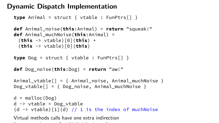## **Dynamic Dispatch Implementation**

```
type Animal = struct { vtable : FunPtrs[] }
```

```
def Animal_noise(this:Animal) = return "squeak!"
def Animal_muchNoise(this:Animal) =
 (this -> vtable)[0](this) +
 (this -> vtable)[0](this)
```

```
type Dog = struct { vtable : FunPtrs[] }
```

```
def Dog_noise(this:Dog) = return "aw!"
```

```
Animal vtable[] = { Animal noise, Animal muchNoise }
Dog vtable[] = { Dog noise, Animal muchNoise }
```

```
d = \text{malloc}(Dog)d \rightarrow vtable = Dog vtable
(d \rightarrow vtable)[1](d) // 1 is the index of muchNoise
```
Virtual methods calls have one extra indirection (even more in case of multiple in  $e$  multiple in  $\mathbf{e}$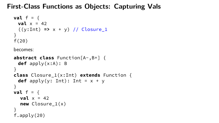#### **First-Class Functions as Objects: Capturing Vals**

```
val f = \{val \times = 42((y:Int) => x + y) // Closure_1
}
f(20)
```
becomes:

```
abstract class Function[A-,B+] {
 def apply(x:A): B
}
class Closure_1(x:Int) extends Function {
 def apply(y: Int): Int = x + y}
val f = \{val x = 42new Closure 1(x)}
f.apply(20)
```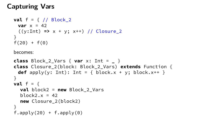## **Capturing Vars**

```
val f = { // Block_2
 var x = 42((y:Int) => x + y; x++) // Closure_2
}
f(20) + f(0)
```
becomes:

```
class Block_2_Vars { var x: Int = _ }
class Closure_2(block: Block_2_Vars) extends Function {
 def apply(y: Int): Int = { block.x + y; block.x++ }
}
val f = \{val block2 = new Block_2_Vars
  block2. x = 42new Closure_2(block2)
}
f.\text{apply}(20) + f.\text{apply}(0)
```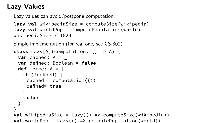# **Lazy Values**

Lazy values can avoid/postpone computation:

```
lazy val wikipediaSize = computeSize(wikipedia)
lazy val worldPop = computePopulation(world)
wikipediaSize / 1024
```
Simple implementation (for real one, see CS-302)

```
class Lazy[A](computation: () => A) {
 var cached: A = _
 var defined: Boolean = false
 def force: A = \{if (!defined) {
    cached = computation(())defined= true
   }
   cached
 }
}
val wikipediaSize = Lazy(() => computeSize(wikipedia))
val worldPop = Lazy(() => computePopulation(world))
```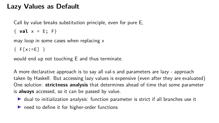#### **Lazy Values as Default**

Call by value breaks substitution principle, even for pure E,

{ **val** x = E; F}

may loop in some cases when replacing x

 ${F[x:=E]}$ 

would end up not touching E and thus terminate.

A more declarative approach is to say all val-s and parameters are lazy - approach taken by Haskell. But accessing lazy values is expensive (even after they are evaluated) One solution: **strictness analysis** that determines ahead of time that some parameter is **always** accessed, so it can be passed by value.

- $\triangleright$  dual to initialization analysis: function parameter is strict if all branches use it
- $\blacktriangleright$  need to define it for higher-order functions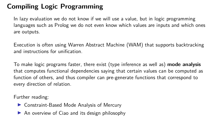# **Compiling Logic Programming**

In lazy evaluation we do not know if we will use a value, but in logic programming languages such as Prolog we do not even know which values are inputs and which ones are outputs.

Execution is often using [Warren Abstract Machine \(WAM\)](https://en.wikipedia.org/wiki/Warren_Abstract_Machine) that supports backtracking and instructions for unification.

To make logic programs faster, there exist (type inference as well as) **mode analysis** that computes functional dependencies saying that certain values can be computed as function of others, and thus compiler can pre-generate functions that correspond to every direction of relation.

Further reading:

- $\triangleright$  [Constraint-Based Mode Analysis of Mercury](http://lara.epfl.ch/w/_media/cc09:modeanalysisoverton.pdf)
- $\triangleright$  [An overview of Ciao and its design philosophy](https://doi.org/10.1017/S1471068411000457)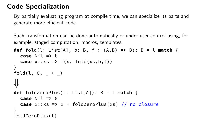## **Code Specialization**

By partially evaluating program at compile time, we can specialize its parts and generate more efficient code.

Such transformation can be done automatically or under user control using, for example, staged computation, macros, templates.

```
def fold(l: List[A], b: B, f : (A,B) => B): B = l match {
  case Nil => b
  case x::xs => f(x, fold(xs,b,f))
}
fold(l, 0, _ + _)
⇓
def foldZeroPlus(l: List[A]): B = l match {
  case Nil => 0
  case x::xs => x + foldZeroPlus(xs) // no closure
}
foldZeroPlus(l)
```